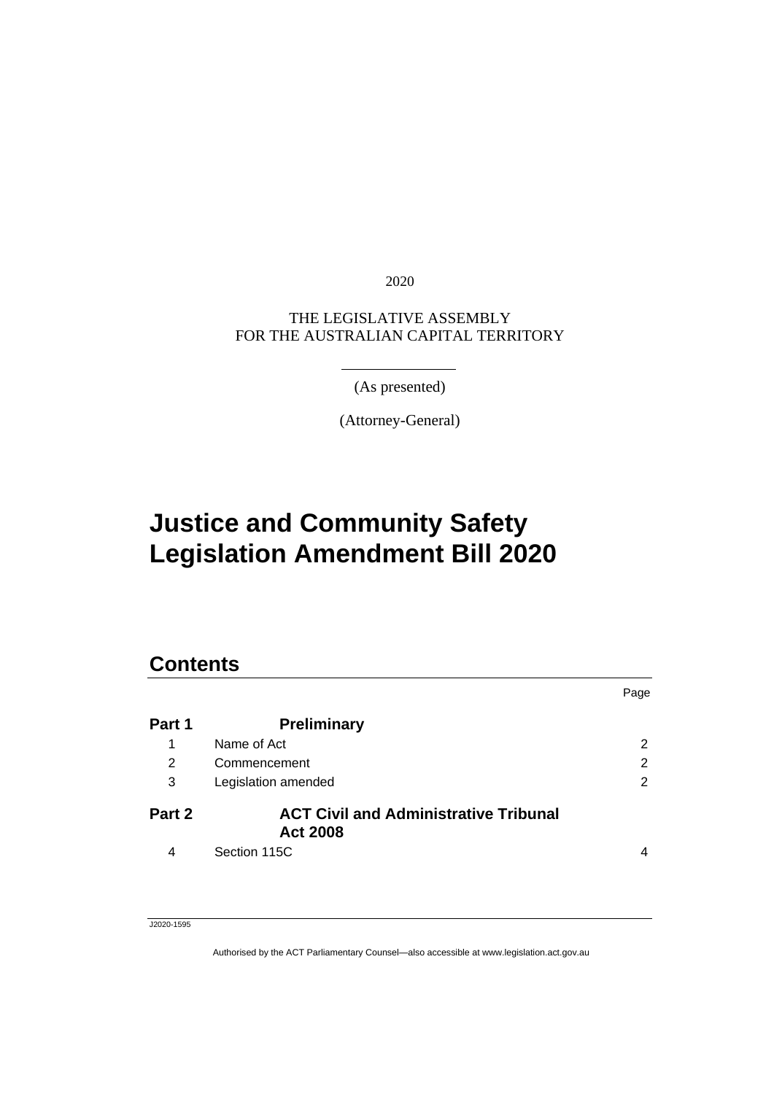2020

### THE LEGISLATIVE ASSEMBLY FOR THE AUSTRALIAN CAPITAL TERRITORY

(As presented)

(Attorney-General)

# **Justice and Community Safety Legislation Amendment Bill 2020**

### **Contents**

|        |                                                                 | Page           |
|--------|-----------------------------------------------------------------|----------------|
| Part 1 | <b>Preliminary</b>                                              |                |
| 1      | Name of Act                                                     | $\overline{2}$ |
| 2      | Commencement                                                    | 2              |
| 3      | Legislation amended                                             | $\overline{2}$ |
| Part 2 | <b>ACT Civil and Administrative Tribunal</b><br><b>Act 2008</b> |                |
| 4      | Section 115C                                                    | 4              |

J2020-1595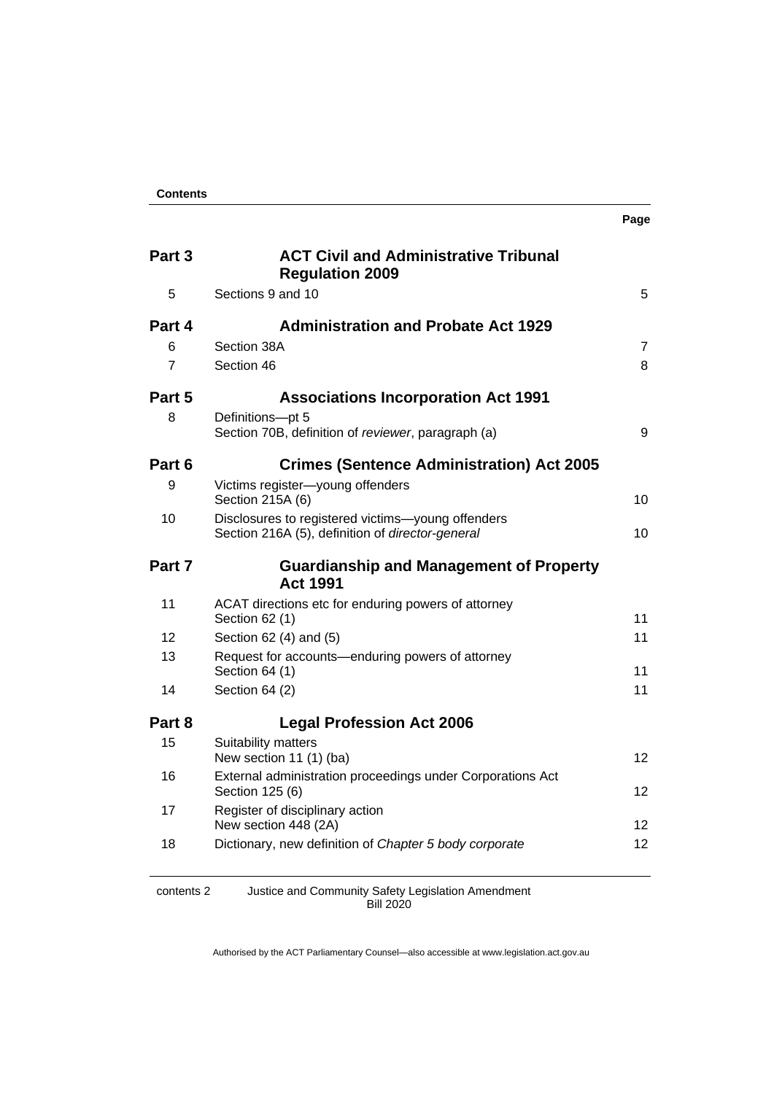| <b>Contents</b> |
|-----------------|
|-----------------|

| Part 3     | <b>ACT Civil and Administrative Tribunal</b><br><b>Regulation 2009</b>                                |                |
|------------|-------------------------------------------------------------------------------------------------------|----------------|
| 5          | Sections 9 and 10                                                                                     | 5              |
| Part 4     | <b>Administration and Probate Act 1929</b>                                                            |                |
| 6          | Section 38A                                                                                           | $\overline{7}$ |
| 7          | Section 46                                                                                            | 8              |
| Part 5     | <b>Associations Incorporation Act 1991</b>                                                            |                |
| 8          | Definitions-pt 5<br>Section 70B, definition of reviewer, paragraph (a)                                | 9              |
| Part 6     | <b>Crimes (Sentence Administration) Act 2005</b>                                                      |                |
| 9          | Victims register-young offenders<br>Section 215A (6)                                                  | 10             |
| 10         | Disclosures to registered victims-young offenders<br>Section 216A (5), definition of director-general | 10             |
| Part 7     | <b>Guardianship and Management of Property</b><br><b>Act 1991</b>                                     |                |
| 11         | ACAT directions etc for enduring powers of attorney<br>Section 62 (1)                                 | 11             |
| 12         | Section 62 (4) and (5)                                                                                | 11             |
| 13         | Request for accounts-enduring powers of attorney<br>Section 64 (1)                                    | 11             |
| 14         | Section 64 (2)                                                                                        | 11             |
| Part 8     | <b>Legal Profession Act 2006</b>                                                                      |                |
| 15         | Suitability matters<br>New section 11 (1) (ba)                                                        | 12             |
| 16         | External administration proceedings under Corporations Act<br>Section 125 (6)                         | 12             |
| 17         | Register of disciplinary action<br>New section 448 (2A)                                               | 12             |
| 18         | Dictionary, new definition of Chapter 5 body corporate                                                | 12             |
| contents 2 | Justice and Community Safety Legislation Amendment                                                    |                |

Bill 2020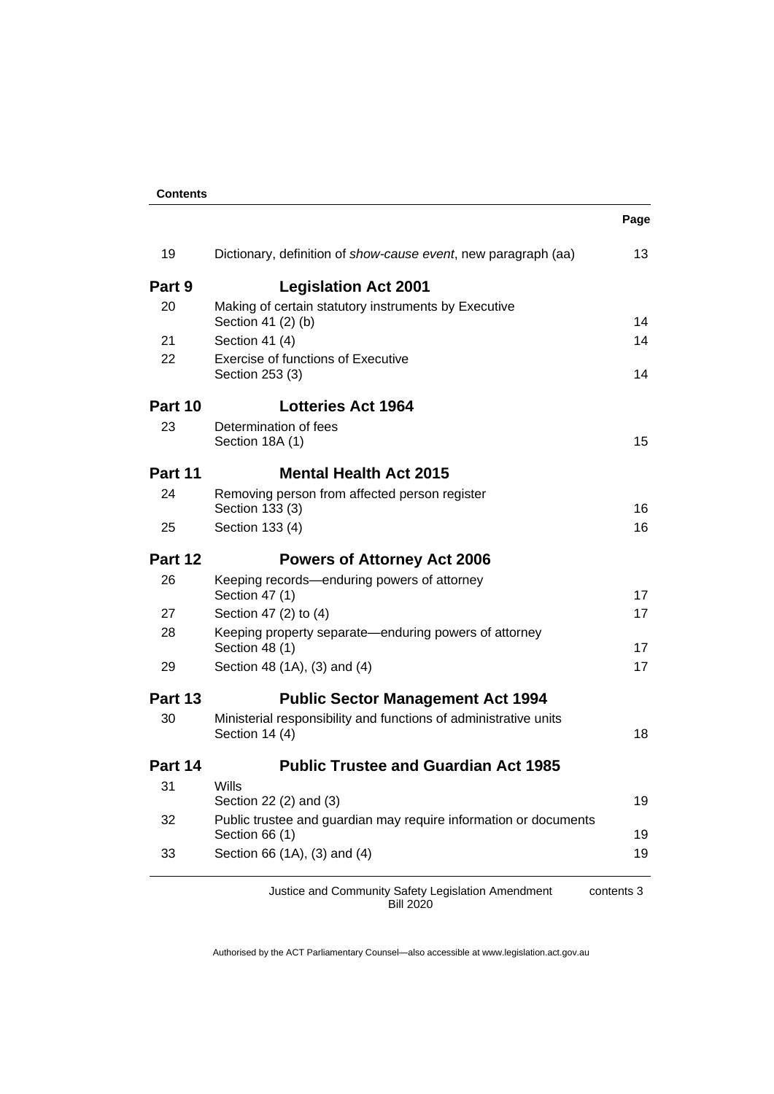| <b>Contents</b> |
|-----------------|
|-----------------|

|         |                                                                                    | Page |
|---------|------------------------------------------------------------------------------------|------|
| 19      | Dictionary, definition of show-cause event, new paragraph (aa)                     | 13   |
| Part 9  | <b>Legislation Act 2001</b>                                                        |      |
| 20      | Making of certain statutory instruments by Executive<br>Section 41 (2) (b)         | 14   |
| 21      | Section 41 (4)                                                                     | 14   |
| 22      | <b>Exercise of functions of Executive</b><br>Section 253 (3)                       | 14   |
| Part 10 | <b>Lotteries Act 1964</b>                                                          |      |
| 23      | Determination of fees<br>Section 18A (1)                                           | 15   |
| Part 11 | <b>Mental Health Act 2015</b>                                                      |      |
| 24      | Removing person from affected person register<br>Section 133 (3)                   | 16   |
| 25      | Section 133 (4)                                                                    | 16   |
| Part 12 | <b>Powers of Attorney Act 2006</b>                                                 |      |
| 26      | Keeping records-enduring powers of attorney<br>Section 47 (1)                      | 17   |
| 27      | Section 47 (2) to (4)                                                              | 17   |
| 28      | Keeping property separate—enduring powers of attorney<br>Section 48 (1)            | 17   |
| 29      | Section 48 (1A), (3) and (4)                                                       | 17   |
| Part 13 | <b>Public Sector Management Act 1994</b>                                           |      |
| 30      | Ministerial responsibility and functions of administrative units<br>Section 14 (4) | 18   |
| Part 14 | <b>Public Trustee and Guardian Act 1985</b>                                        |      |
| 31      | Wills<br>Section 22 (2) and (3)                                                    | 19   |
| 32      | Public trustee and guardian may require information or documents<br>Section 66 (1) | 19   |
| 33      | Section 66 (1A), (3) and (4)                                                       | 19   |

Justice and Community Safety Legislation Amendment Bill 2020 contents 3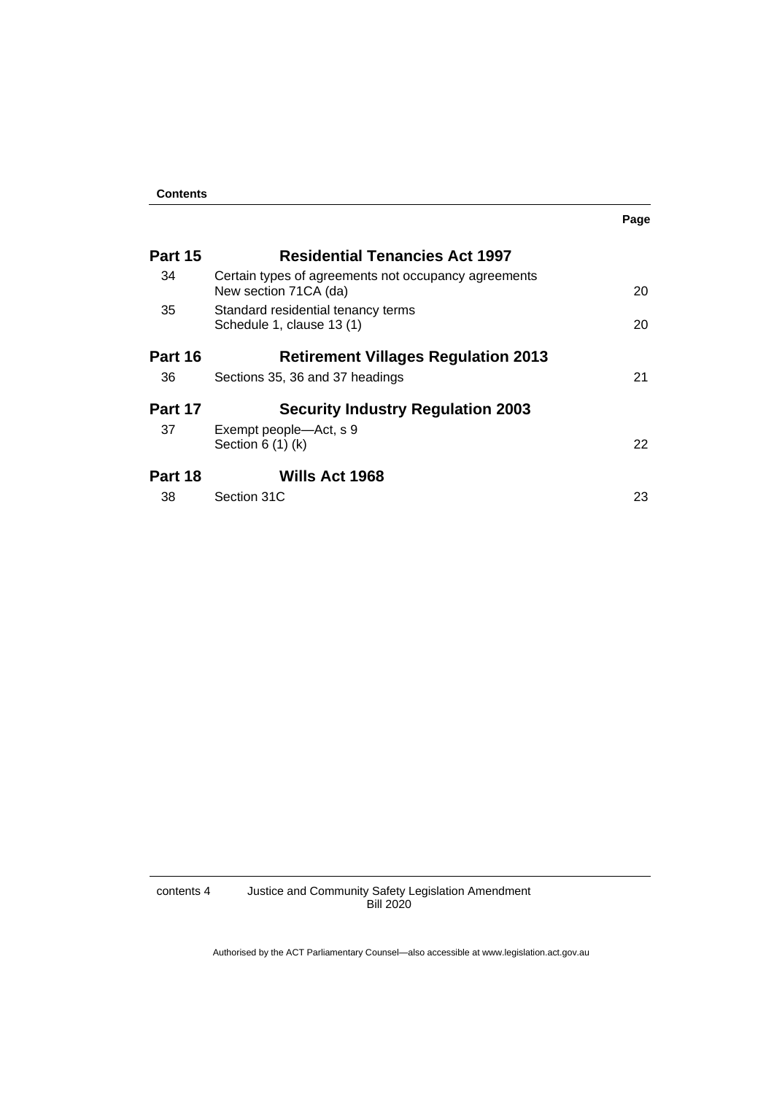|         |                                                                               | Page |
|---------|-------------------------------------------------------------------------------|------|
| Part 15 | <b>Residential Tenancies Act 1997</b>                                         |      |
| 34      | Certain types of agreements not occupancy agreements<br>New section 71CA (da) | 20   |
| 35      | Standard residential tenancy terms<br>Schedule 1, clause 13 (1)               | 20   |
| Part 16 | <b>Retirement Villages Regulation 2013</b>                                    |      |
| 36      | Sections 35, 36 and 37 headings                                               | 21   |
| Part 17 | <b>Security Industry Regulation 2003</b>                                      |      |
| 37      | Exempt people—Act, s 9<br>Section $6(1)(k)$                                   | 22   |
| Part 18 | Wills Act 1968                                                                |      |
| 38      | Section 31C                                                                   | 23   |

contents 4 Justice and Community Safety Legislation Amendment Bill 2020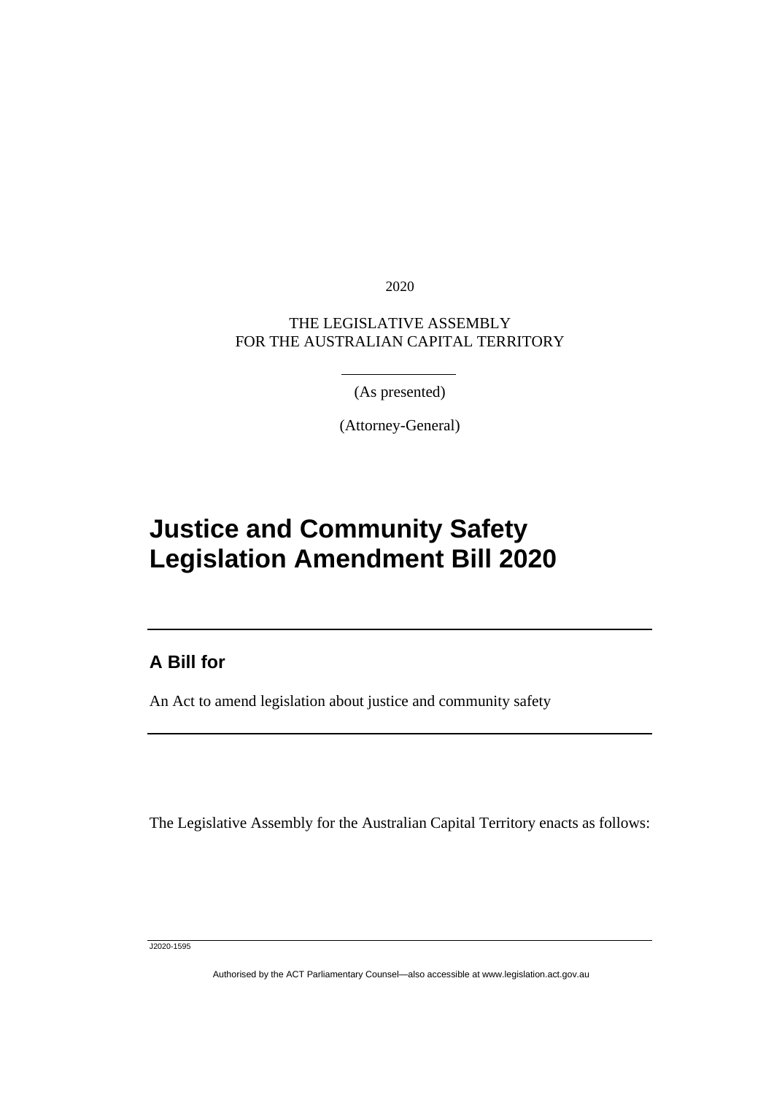2020

### THE LEGISLATIVE ASSEMBLY FOR THE AUSTRALIAN CAPITAL TERRITORY

(As presented)

(Attorney-General)

# **Justice and Community Safety Legislation Amendment Bill 2020**

### **A Bill for**

I

An Act to amend legislation about justice and community safety

The Legislative Assembly for the Australian Capital Territory enacts as follows:

J2020-1595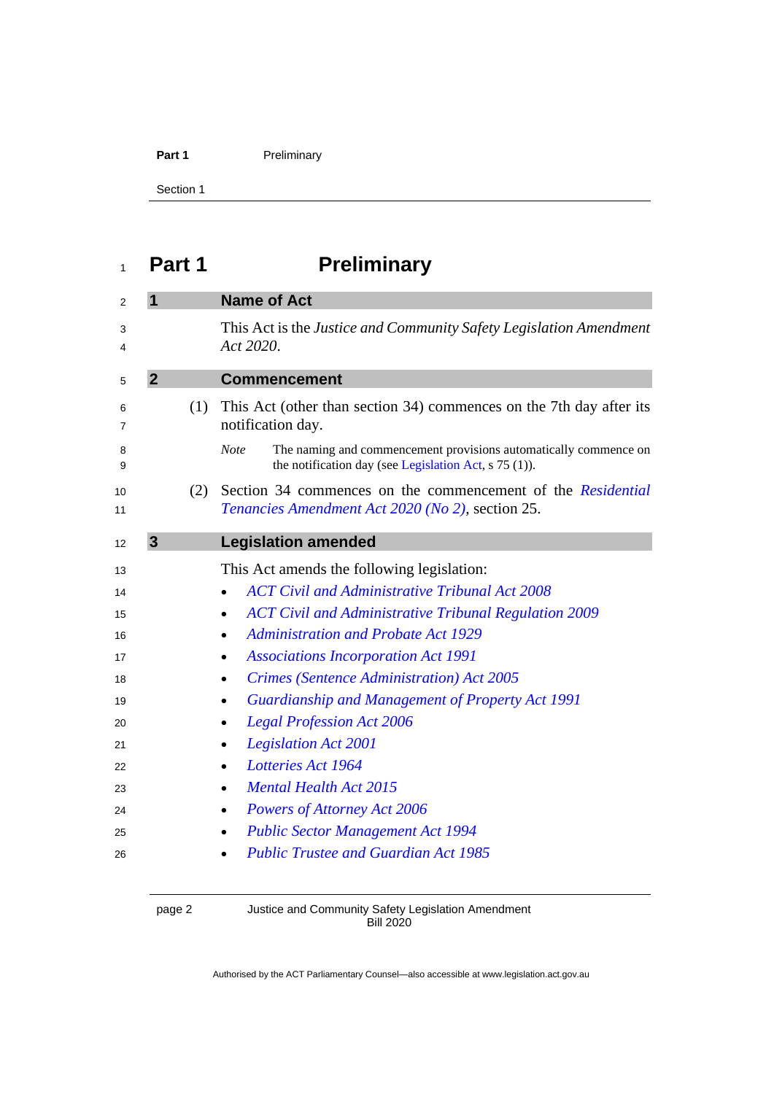### Part 1 **Preliminary**

Section 1

# <span id="page-5-0"></span>**Part 1 Preliminary**

<span id="page-5-3"></span><span id="page-5-2"></span><span id="page-5-1"></span>

|                |     | <b>Name of Act</b>                                                                                                                       |
|----------------|-----|------------------------------------------------------------------------------------------------------------------------------------------|
|                |     | This Act is the Justice and Community Safety Legislation Amendment<br>Act 2020.                                                          |
| $\overline{2}$ |     | <b>Commencement</b>                                                                                                                      |
|                | (1) | This Act (other than section 34) commences on the 7th day after its<br>notification day.                                                 |
|                |     | <b>Note</b><br>The naming and commencement provisions automatically commence on<br>the notification day (see Legislation Act, s 75 (1)). |
|                | (2) | Section 34 commences on the commencement of the Residential<br>Tenancies Amendment Act 2020 (No 2), section 25.                          |
| 3              |     | <b>Legislation amended</b>                                                                                                               |
|                |     | This Act amends the following legislation:                                                                                               |
|                |     | <b>ACT Civil and Administrative Tribunal Act 2008</b>                                                                                    |
|                |     | <b>ACT Civil and Administrative Tribunal Regulation 2009</b><br>$\bullet$                                                                |
|                |     | <b>Administration and Probate Act 1929</b><br>٠                                                                                          |
|                |     | <b>Associations Incorporation Act 1991</b>                                                                                               |
|                |     | <b>Crimes (Sentence Administration) Act 2005</b><br>$\bullet$                                                                            |
|                |     | <b>Guardianship and Management of Property Act 1991</b><br>$\bullet$                                                                     |
|                |     | <b>Legal Profession Act 2006</b>                                                                                                         |
|                |     | <b>Legislation Act 2001</b>                                                                                                              |
|                |     | Lotteries Act 1964<br>$\bullet$                                                                                                          |
|                |     | <b>Mental Health Act 2015</b><br>$\bullet$                                                                                               |
|                |     | Powers of Attorney Act 2006<br>$\bullet$                                                                                                 |
|                |     | <b>Public Sector Management Act 1994</b>                                                                                                 |
|                |     |                                                                                                                                          |

#### page 2 Justice and Community Safety Legislation Amendment Bill 2020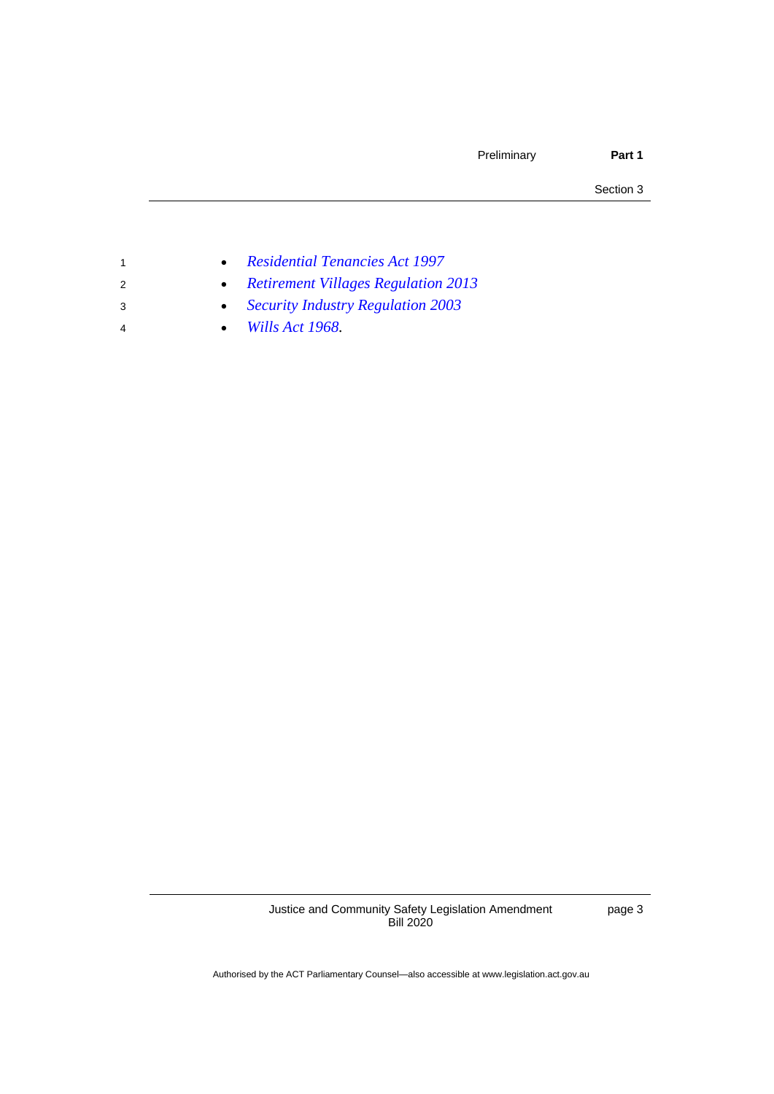Section 3

- <sup>1</sup> *[Residential Tenancies Act 1997](http://www.legislation.act.gov.au/a/1997-84)*
- <sup>2</sup> *[Retirement Villages Regulation 2013](http://www.legislation.act.gov.au/sl/2013-5)*
- <sup>3</sup> *[Security Industry Regulation 2003](http://www.legislation.act.gov.au/sl/2003-30)*
- <sup>4</sup> *[Wills Act 1968.](http://www.legislation.act.gov.au/a/1968-11)*

Justice and Community Safety Legislation Amendment Bill 2020

page 3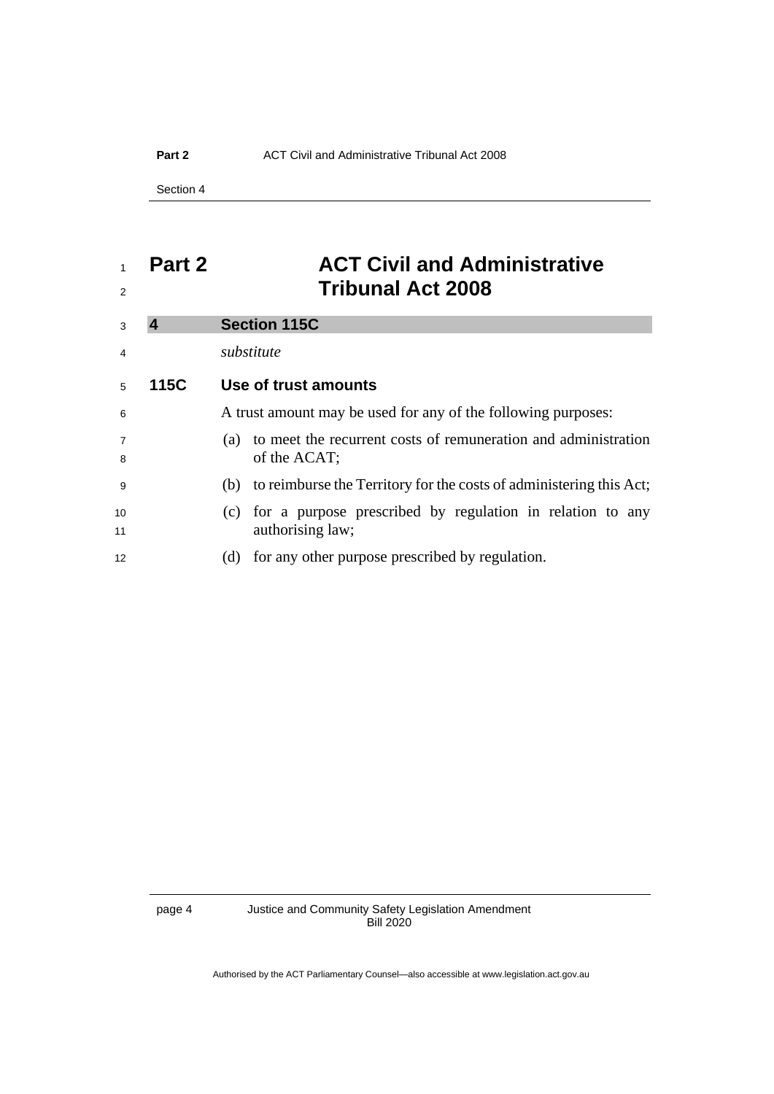#### **Part 2** ACT Civil and Administrative Tribunal Act 2008

Section 4

## <span id="page-7-0"></span> **Part 2 ACT Civil and Administrative Tribunal Act 2008**

<span id="page-7-1"></span>

| 3                   |      | <b>Section 115C</b>                                                                                         |
|---------------------|------|-------------------------------------------------------------------------------------------------------------|
| $\overline{4}$      |      | substitute                                                                                                  |
| 5                   | 115C | Use of trust amounts                                                                                        |
| 6                   |      | A trust amount may be used for any of the following purposes:                                               |
| $\overline{7}$<br>8 |      | to meet the recurrent costs of remuneration and administration<br>(a)<br>of the ACAT;                       |
| -9                  |      | (b) to reimburse the Territory for the costs of administering this Act;                                     |
| 10<br>11            |      | for a purpose prescribed by regulation in relation to any<br>$\left( \mathrm{c}\right)$<br>authorising law; |
| 12                  |      | (d) for any other purpose prescribed by regulation.                                                         |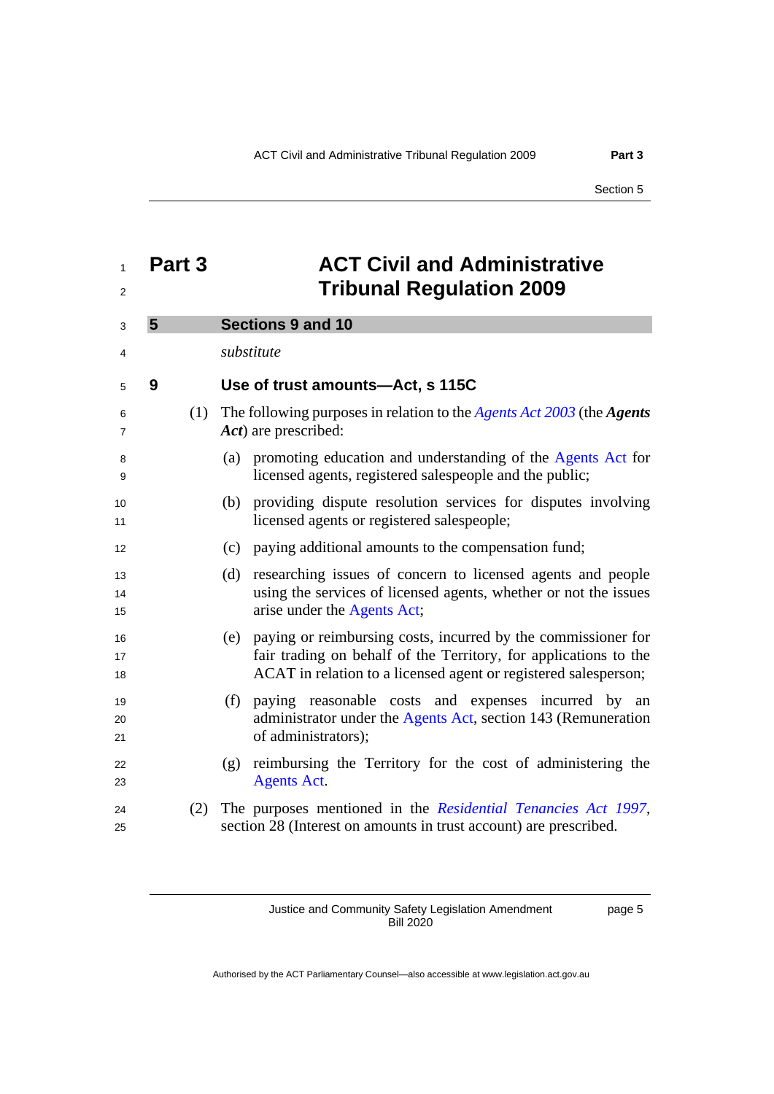<span id="page-8-1"></span><span id="page-8-0"></span>

| 1<br>2         | Part 3 | <b>ACT Civil and Administrative</b><br><b>Tribunal Regulation 2009</b>                                                                                                                                      |
|----------------|--------|-------------------------------------------------------------------------------------------------------------------------------------------------------------------------------------------------------------|
| 3              | 5      | <b>Sections 9 and 10</b>                                                                                                                                                                                    |
| 4              |        | substitute                                                                                                                                                                                                  |
| 5              | 9      | Use of trust amounts-Act, s 115C                                                                                                                                                                            |
| 6<br>7         | (1)    | The following purposes in relation to the <i>Agents Act 2003</i> (the <i>Agents</i><br>Act) are prescribed:                                                                                                 |
| 8<br>9         |        | (a) promoting education and understanding of the Agents Act for<br>licensed agents, registered salespeople and the public;                                                                                  |
| 10<br>11       |        | (b) providing dispute resolution services for disputes involving<br>licensed agents or registered salespeople;                                                                                              |
| 12             |        | paying additional amounts to the compensation fund;<br>(c)                                                                                                                                                  |
| 13<br>14<br>15 |        | researching issues of concern to licensed agents and people<br>(d)<br>using the services of licensed agents, whether or not the issues<br>arise under the Agents Act;                                       |
| 16<br>17<br>18 |        | paying or reimbursing costs, incurred by the commissioner for<br>(e)<br>fair trading on behalf of the Territory, for applications to the<br>ACAT in relation to a licensed agent or registered salesperson; |
| 19<br>20<br>21 |        | paying reasonable costs and expenses incurred by an<br>(f)<br>administrator under the Agents Act, section 143 (Remuneration<br>of administrators);                                                          |
| 22<br>23       |        | reimbursing the Territory for the cost of administering the<br>(g)<br><b>Agents Act.</b>                                                                                                                    |
| 24<br>25       | (2)    | The purposes mentioned in the Residential Tenancies Act 1997,<br>section 28 (Interest on amounts in trust account) are prescribed.                                                                          |

Justice and Community Safety Legislation Amendment Bill 2020

page 5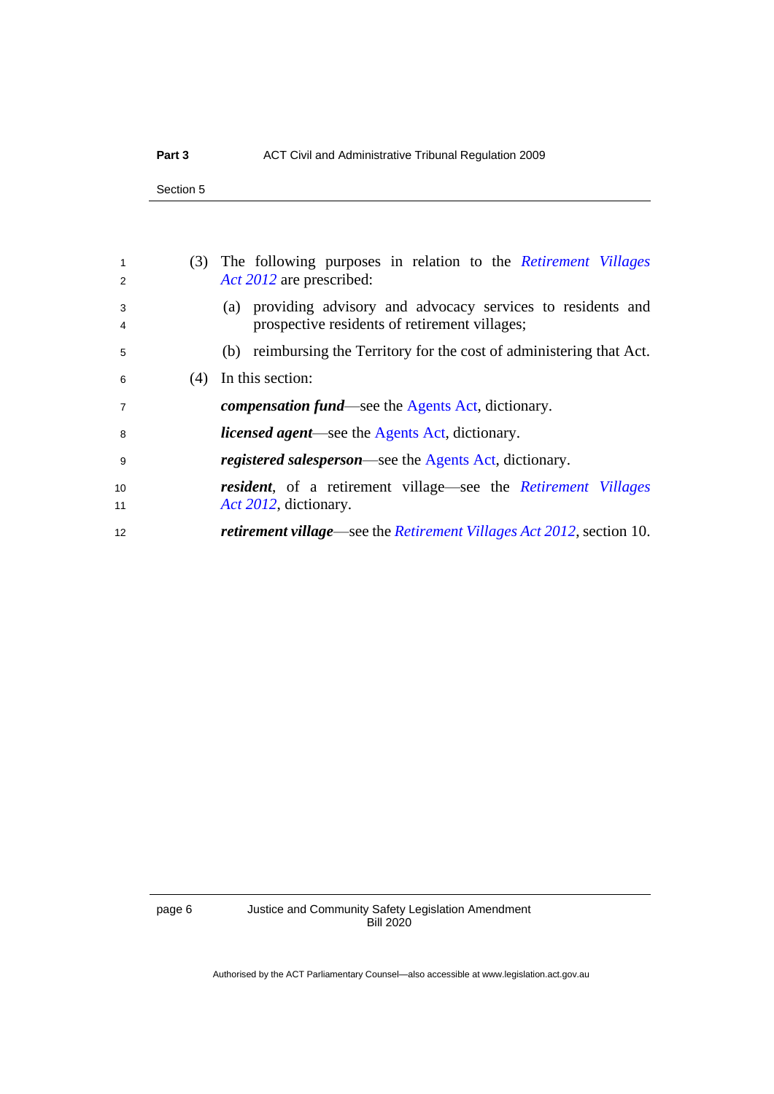Section 5

| $\mathbf{1}$<br>2 |     | (3) The following purposes in relation to the <i>Retirement Villages</i><br>Act 2012 are prescribed:           |
|-------------------|-----|----------------------------------------------------------------------------------------------------------------|
| 3<br>4            |     | (a) providing advisory and advocacy services to residents and<br>prospective residents of retirement villages; |
| 5                 |     | (b) reimbursing the Territory for the cost of administering that Act.                                          |
| 6                 | (4) | In this section:                                                                                               |
| $\overline{7}$    |     | <i>compensation fund</i> —see the Agents Act, dictionary.                                                      |
| -8                |     | <i>licensed agent</i> —see the Agents Act, dictionary.                                                         |
| -9                |     | <i>registered salesperson</i> —see the Agents Act, dictionary.                                                 |
| 10<br>11          |     | <b>resident</b> , of a retirement village—see the <i>Retirement Villages</i><br>Act 2012, dictionary.          |
| 12                |     | <i>retirement village—see the Retirement Villages Act 2012</i> , section 10.                                   |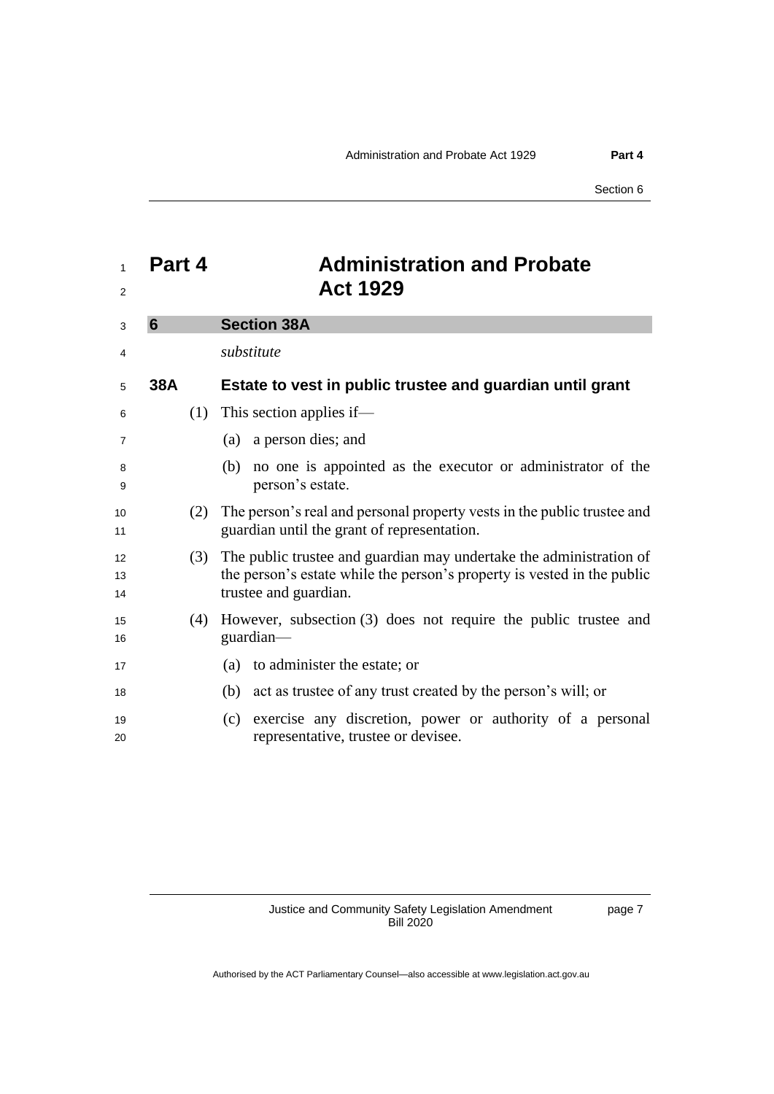<span id="page-10-1"></span><span id="page-10-0"></span>

| 1<br>$\overline{2}$ | Part 4 | <b>Administration and Probate</b><br><b>Act 1929</b>                                                                                                                    |
|---------------------|--------|-------------------------------------------------------------------------------------------------------------------------------------------------------------------------|
| 3                   | 6      | <b>Section 38A</b>                                                                                                                                                      |
| 4                   |        | substitute                                                                                                                                                              |
| 5                   | 38A    | Estate to vest in public trustee and guardian until grant                                                                                                               |
| 6                   |        | $(1)$ This section applies if—                                                                                                                                          |
| 7                   |        | a person dies; and<br>(a)                                                                                                                                               |
| 8<br>9              |        | no one is appointed as the executor or administrator of the<br>(b)<br>person's estate.                                                                                  |
| 10<br>11            | (2)    | The person's real and personal property vests in the public trustee and<br>guardian until the grant of representation.                                                  |
| 12<br>13<br>14      | (3)    | The public trustee and guardian may undertake the administration of<br>the person's estate while the person's property is vested in the public<br>trustee and guardian. |
| 15<br>16            | (4)    | However, subsection (3) does not require the public trustee and<br>guardian-                                                                                            |
| 17                  |        | (a) to administer the estate; or                                                                                                                                        |
| 18                  |        | (b) act as trustee of any trust created by the person's will; or                                                                                                        |
| 19<br>20            |        | exercise any discretion, power or authority of a personal<br>(c)<br>representative, trustee or devisee.                                                                 |

page 7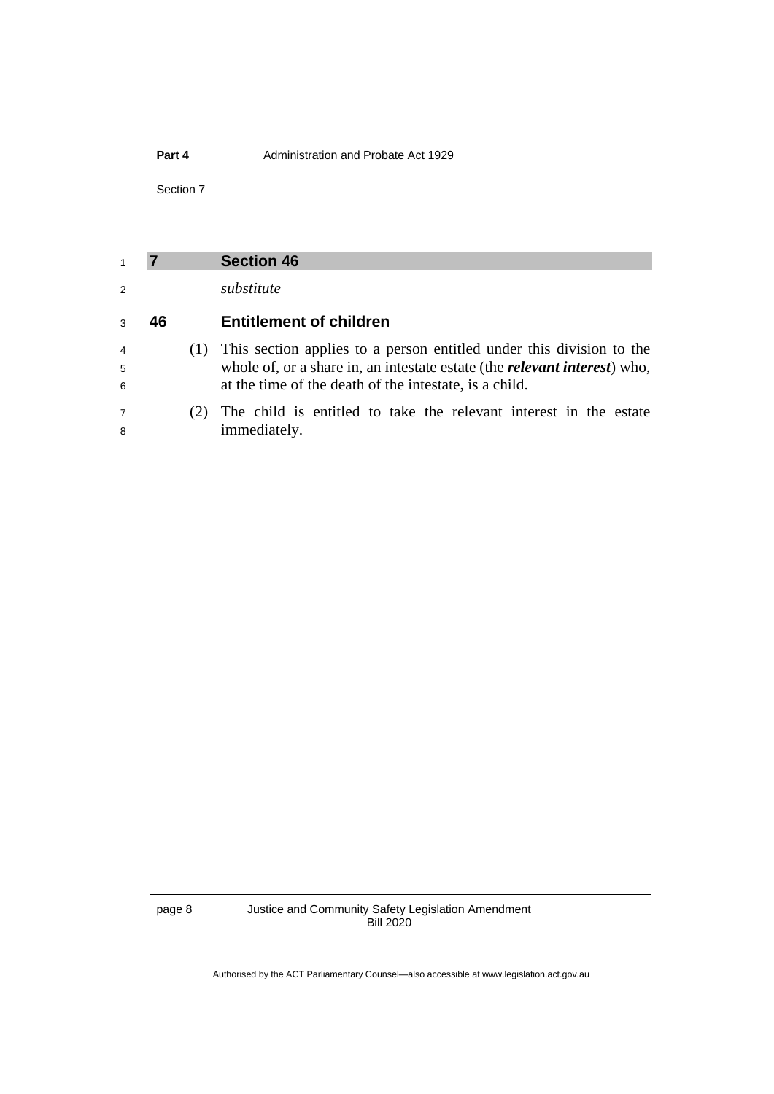#### **Part 4** Administration and Probate Act 1929

Section 7

### <span id="page-11-0"></span>**7 Section 46**

*substitute*

### **46 Entitlement of children**

- (1) This section applies to a person entitled under this division to the whole of, or a share in, an intestate estate (the *relevant interest*) who, at the time of the death of the intestate, is a child.
- (2) The child is entitled to take the relevant interest in the estate immediately.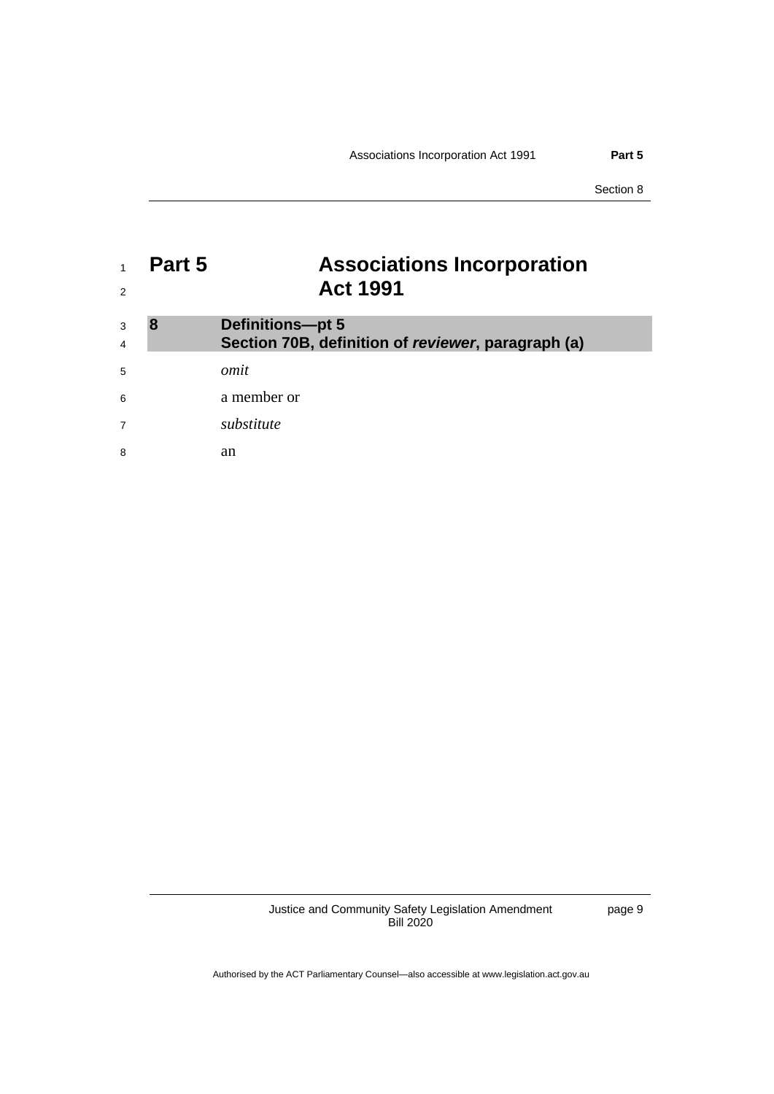## <span id="page-12-0"></span><sup>1</sup> **Part 5 Associations Incorporation**  <sup>2</sup> **Act 1991**

<span id="page-12-1"></span>

| 3<br>$\overline{4}$ | <b>Definitions-pt 5</b><br>Section 70B, definition of reviewer, paragraph (a) |
|---------------------|-------------------------------------------------------------------------------|
| 5                   | omit                                                                          |
| 6                   | a member or                                                                   |
| $\overline{7}$      | substitute                                                                    |
| 8                   | an                                                                            |

Justice and Community Safety Legislation Amendment Bill 2020

page 9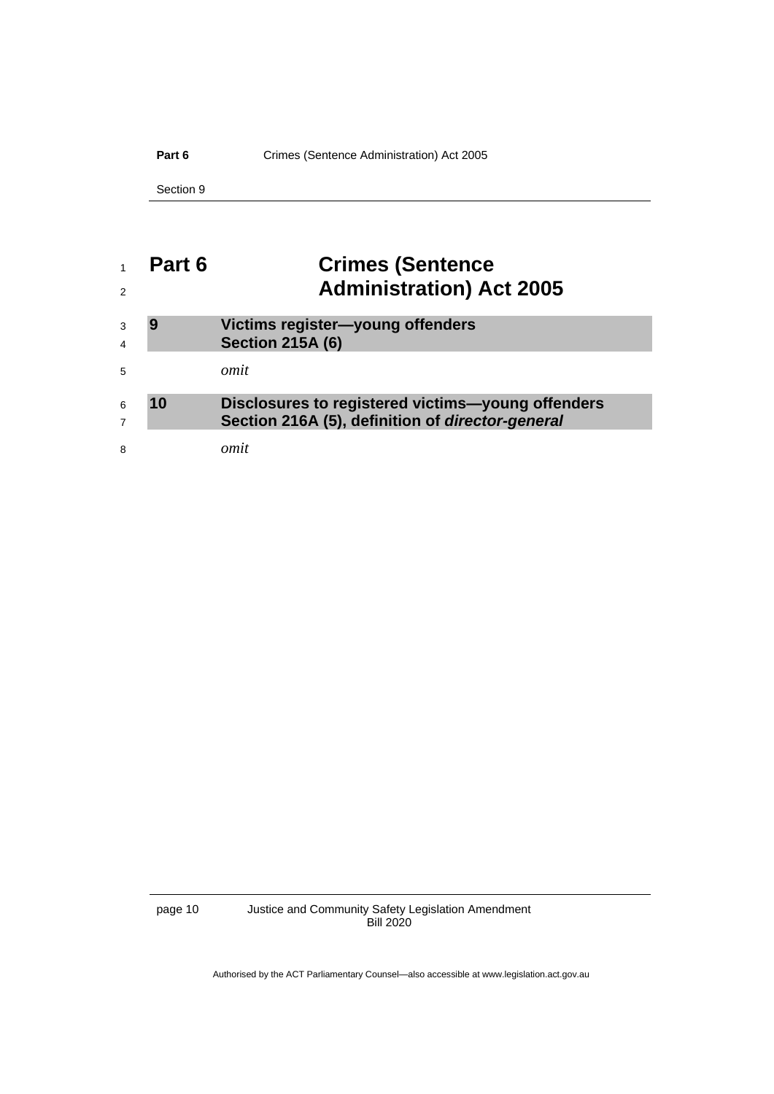### Part 6 **Crimes** (Sentence Administration) Act 2005

Section 9

# <span id="page-13-0"></span> **Part 6 Crimes (Sentence Administration) Act 2005**

<span id="page-13-2"></span><span id="page-13-1"></span>

| 3<br>$\overline{4}$ |    | Victims register-young offenders<br><b>Section 215A (6)</b>                                           |
|---------------------|----|-------------------------------------------------------------------------------------------------------|
| 5                   |    | omit                                                                                                  |
| 6<br>$\overline{7}$ | 10 | Disclosures to registered victims-young offenders<br>Section 216A (5), definition of director-general |
| 8                   |    | omit                                                                                                  |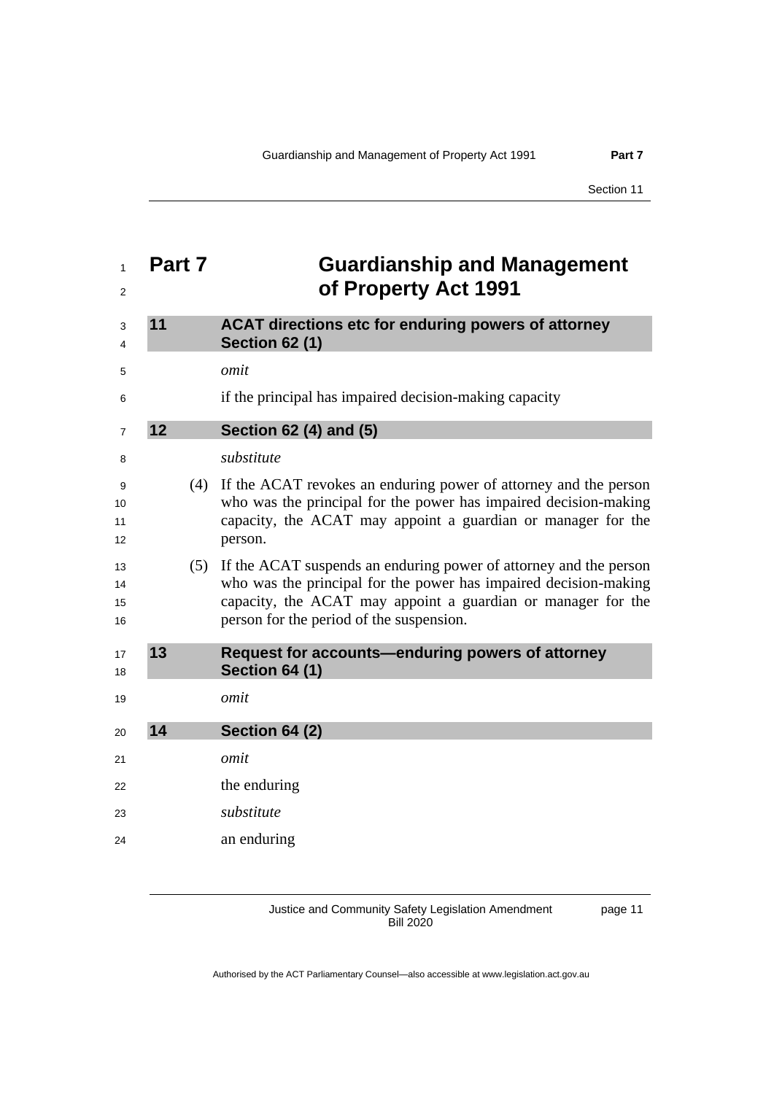## <span id="page-14-2"></span><span id="page-14-1"></span><span id="page-14-0"></span> **Part 7 Guardianship and Management of Property Act 1991 11 ACAT directions etc for enduring powers of attorney Section 62 (1)** *omit* if the principal has impaired decision-making capacity **12 Section 62 (4) and (5)** *substitute* (4) If the ACAT revokes an enduring power of attorney and the person who was the principal for the power has impaired decision-making capacity, the ACAT may appoint a guardian or manager for the person. (5) If the ACAT suspends an enduring power of attorney and the person who was the principal for the power has impaired decision-making capacity, the ACAT may appoint a guardian or manager for the person for the period of the suspension. **13 Request for accounts—enduring powers of attorney Section 64 (1)** *omit* **14 Section 64 (2)** *omit* the enduring *substitute* an enduring

<span id="page-14-4"></span><span id="page-14-3"></span>Justice and Community Safety Legislation Amendment Bill 2020

page 11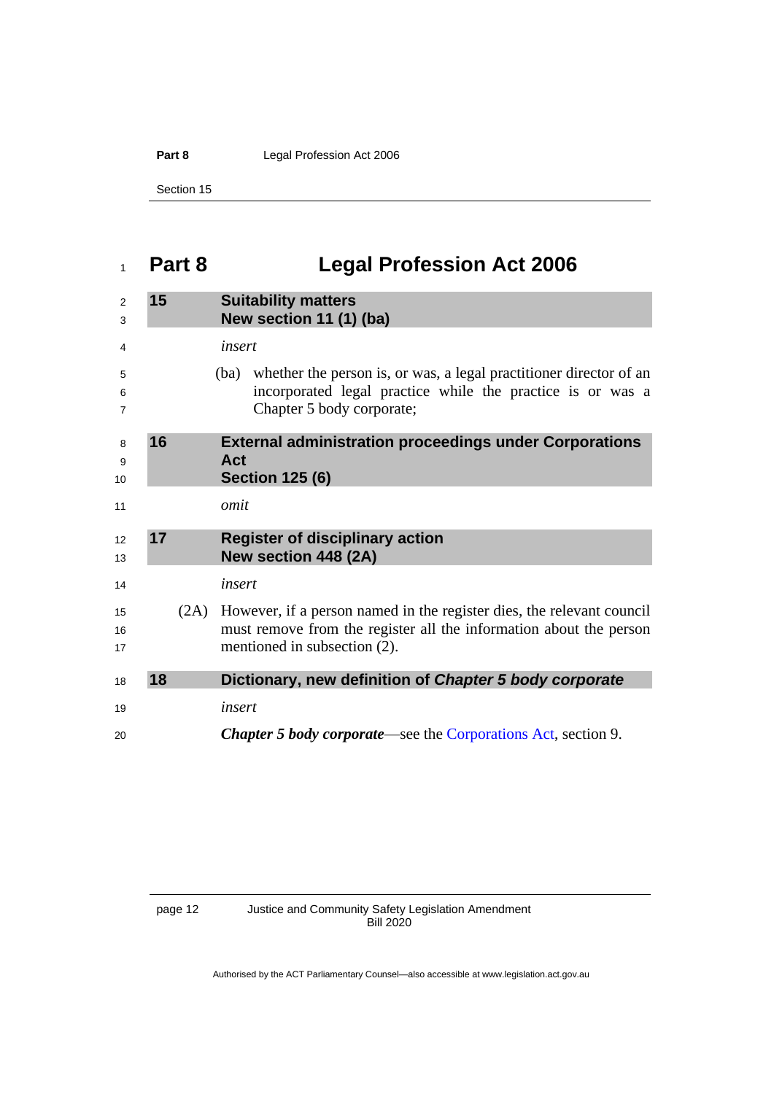Part 8 **Legal Profession Act 2006** 

Section 15

# <span id="page-15-0"></span>**Part 8 Legal Profession Act 2006**

<span id="page-15-3"></span><span id="page-15-2"></span><span id="page-15-1"></span>

| 2<br>3                   | 15 |      | <b>Suitability matters</b><br>New section 11 (1) (ba)                                                                                                                       |
|--------------------------|----|------|-----------------------------------------------------------------------------------------------------------------------------------------------------------------------------|
| 4                        |    |      | insert                                                                                                                                                                      |
| 5<br>6<br>$\overline{7}$ |    |      | (ba) whether the person is, or was, a legal practitioner director of an<br>incorporated legal practice while the practice is or was a<br>Chapter 5 body corporate;          |
| 8<br>9<br>10             | 16 |      | <b>External administration proceedings under Corporations</b><br>Act<br><b>Section 125 (6)</b>                                                                              |
| 11                       |    |      | omit                                                                                                                                                                        |
| 12<br>13                 | 17 |      | <b>Register of disciplinary action</b><br>New section 448 (2A)                                                                                                              |
| 14                       |    |      | insert                                                                                                                                                                      |
| 15<br>16<br>17           |    | (2A) | However, if a person named in the register dies, the relevant council<br>must remove from the register all the information about the person<br>mentioned in subsection (2). |
| 18                       | 18 |      | Dictionary, new definition of Chapter 5 body corporate                                                                                                                      |
| 19                       |    |      | insert                                                                                                                                                                      |
| 20                       |    |      | <b>Chapter 5 body corporate—see the Corporations Act, section 9.</b>                                                                                                        |

<span id="page-15-4"></span>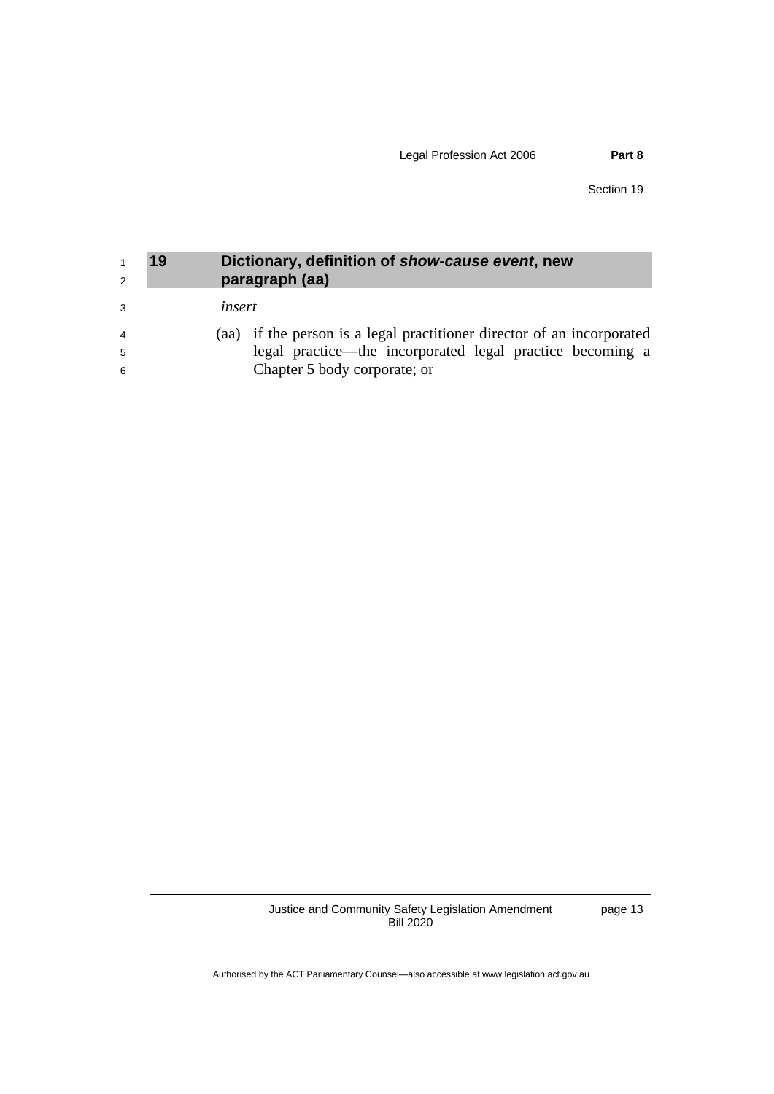Section 19

<span id="page-16-0"></span>

| 2              | 19     | Dictionary, definition of show-cause event, new<br>paragraph (aa)      |
|----------------|--------|------------------------------------------------------------------------|
| 3              | insert |                                                                        |
| $\overline{4}$ |        | (aa) if the person is a legal practitioner director of an incorporated |
| -5             |        | legal practice—the incorporated legal practice becoming a              |
| 6              |        | Chapter 5 body corporate; or                                           |

Justice and Community Safety Legislation Amendment Bill 2020

page 13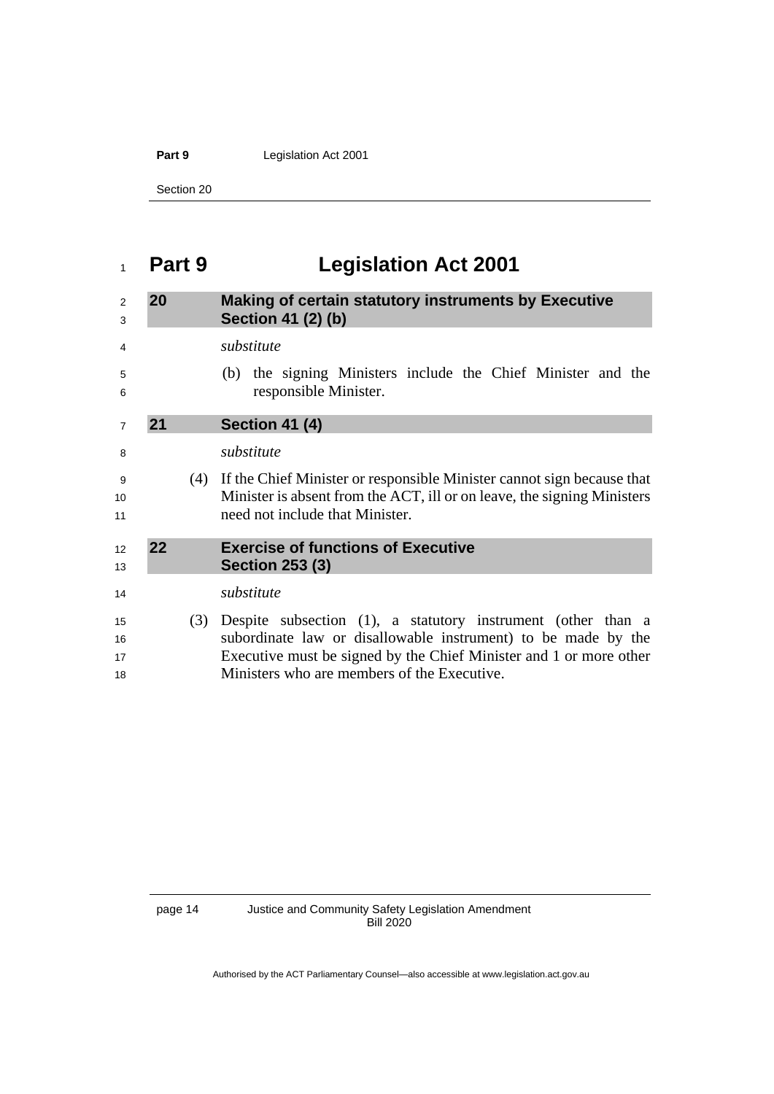Part 9 Legislation Act 2001

Section 20

## <span id="page-17-0"></span>**Part 9 Legislation Act 2001**

### <span id="page-17-1"></span> **20 Making of certain statutory instruments by Executive Section 41 (2) (b)**

<span id="page-17-3"></span><span id="page-17-2"></span> *substitute* (b) the signing Ministers include the Chief Minister and the responsible Minister. **21 Section 41 (4)** *substitute* (4) If the Chief Minister or responsible Minister cannot sign because that Minister is absent from the ACT, ill or on leave, the signing Ministers need not include that Minister. **22 Exercise of functions of Executive Section 253 (3)** *substitute* (3) Despite subsection (1), a statutory instrument (other than a subordinate law or disallowable instrument) to be made by the Executive must be signed by the Chief Minister and 1 or more other Ministers who are members of the Executive.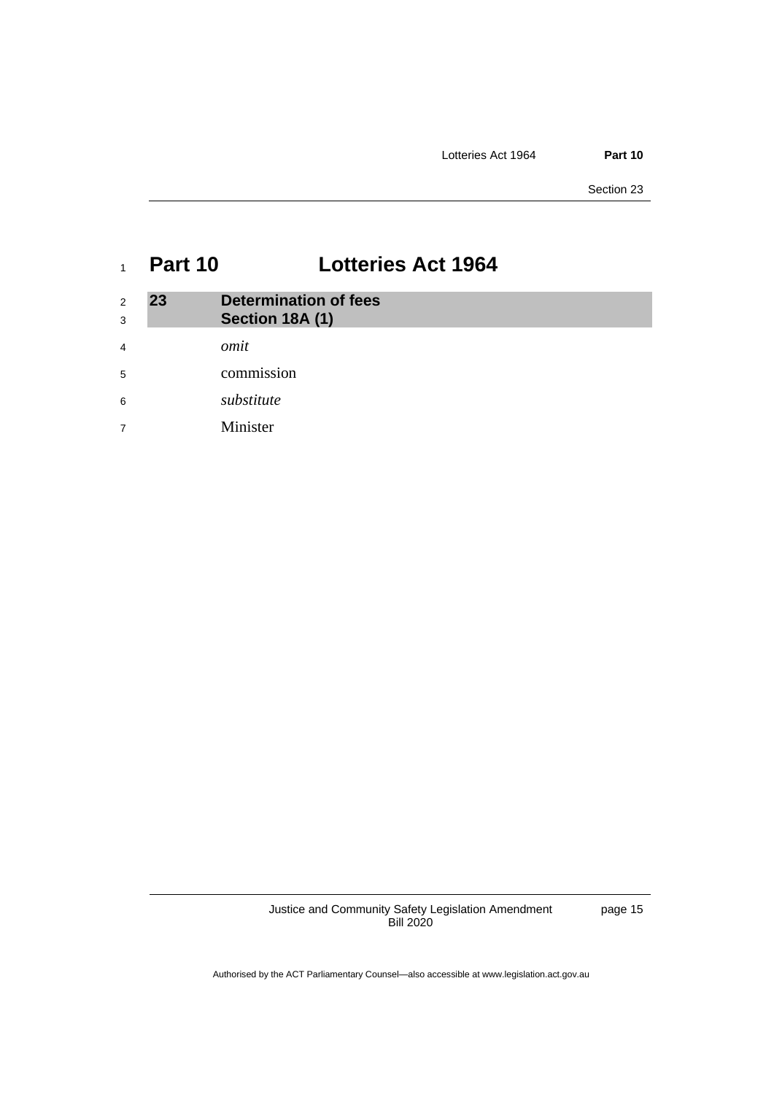Section 23

## <span id="page-18-0"></span><sup>1</sup> **Part 10 Lotteries Act 1964**

<span id="page-18-1"></span>

| 2<br>3 | 23 | <b>Determination of fees</b><br>Section 18A (1) |
|--------|----|-------------------------------------------------|
| 4      |    | omit                                            |
| 5      |    | commission                                      |
| 6      |    | substitute                                      |
| 7      |    | Minister                                        |

Justice and Community Safety Legislation Amendment Bill 2020

page 15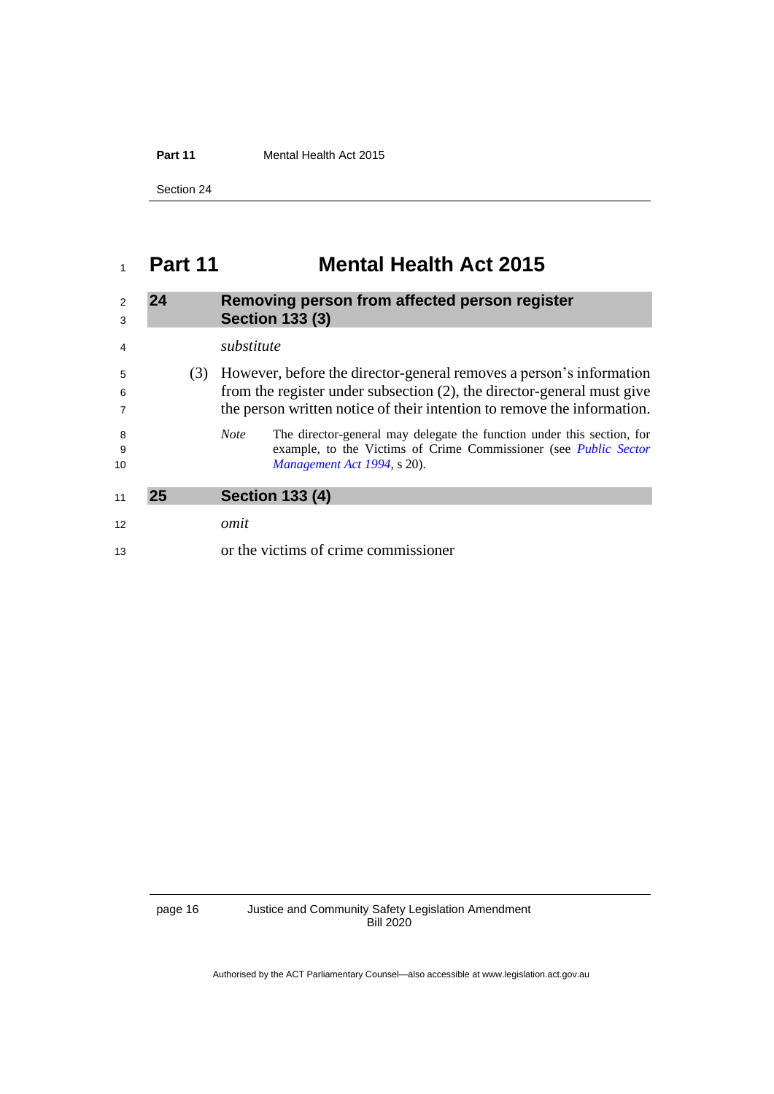Part 11 **Mental Health Act 2015** 

Section 24

## <span id="page-19-0"></span>**Part 11 Mental Health Act 2015**

<span id="page-19-2"></span><span id="page-19-1"></span>

| $\mathcal{P}$<br>3 | 24 |     | Removing person from affected person register<br><b>Section 133 (3)</b>                                                                                                                                                  |
|--------------------|----|-----|--------------------------------------------------------------------------------------------------------------------------------------------------------------------------------------------------------------------------|
| $\overline{4}$     |    |     | substitute                                                                                                                                                                                                               |
| 5<br>6             |    | (3) | However, before the director-general removes a person's information<br>from the register under subsection (2), the director-general must give<br>the person written notice of their intention to remove the information. |
| 8<br>-9<br>10      |    |     | The director-general may delegate the function under this section, for<br><b>Note</b><br>example, to the Victims of Crime Commissioner (see <i>Public Sector</i><br>Management Act 1994, s 20).                          |
| 11                 | 25 |     | <b>Section 133 (4)</b>                                                                                                                                                                                                   |
| 12                 |    |     | omit                                                                                                                                                                                                                     |
| 13                 |    |     | or the victims of crime commissioner                                                                                                                                                                                     |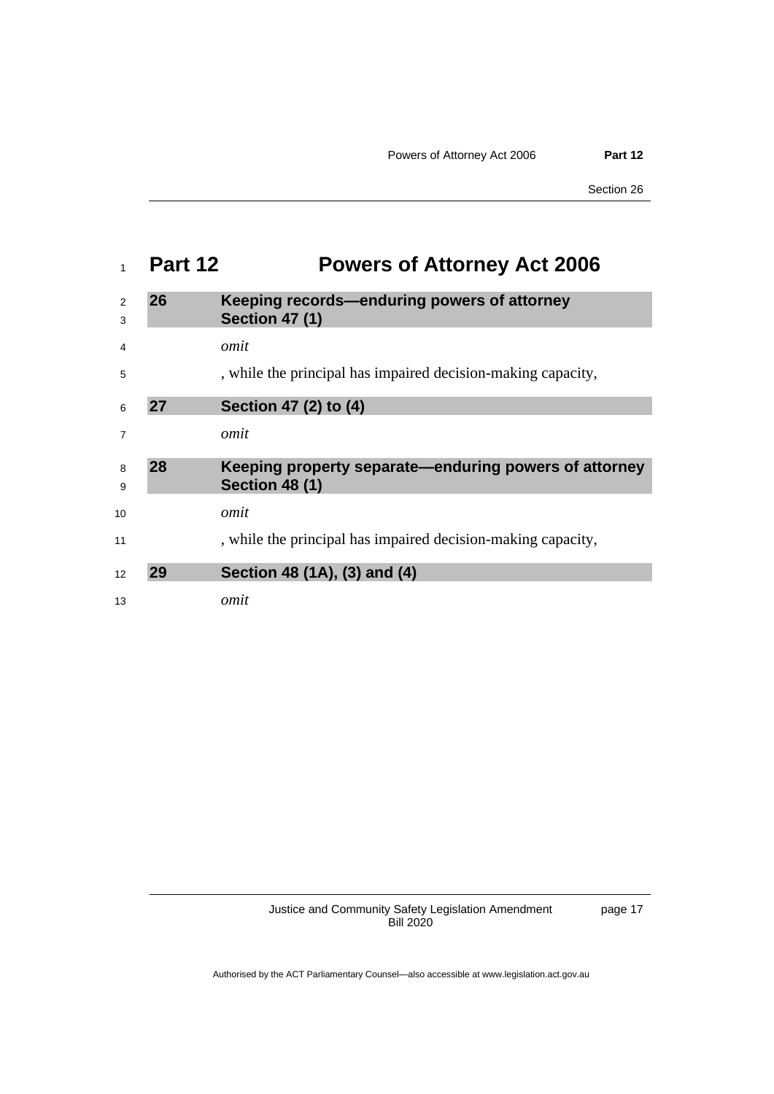## <span id="page-20-0"></span>**Part 12 Powers of Attorney Act 2006**

<span id="page-20-4"></span><span id="page-20-3"></span><span id="page-20-2"></span><span id="page-20-1"></span>

| 2<br>3         | 26 | Keeping records—enduring powers of attorney<br><b>Section 47 (1)</b>           |
|----------------|----|--------------------------------------------------------------------------------|
| 4              |    | omit                                                                           |
| 5              |    | , while the principal has impaired decision-making capacity,                   |
| 6              | 27 | Section 47 (2) to (4)                                                          |
| $\overline{7}$ |    | omit                                                                           |
| 8<br>9         | 28 | Keeping property separate—enduring powers of attorney<br><b>Section 48 (1)</b> |
| 10             |    | omit                                                                           |
| 11             |    | , while the principal has impaired decision-making capacity,                   |
| 12             | 29 | Section 48 (1A), (3) and (4)                                                   |
| 13             |    | omit                                                                           |
|                |    |                                                                                |

Justice and Community Safety Legislation Amendment Bill 2020

page 17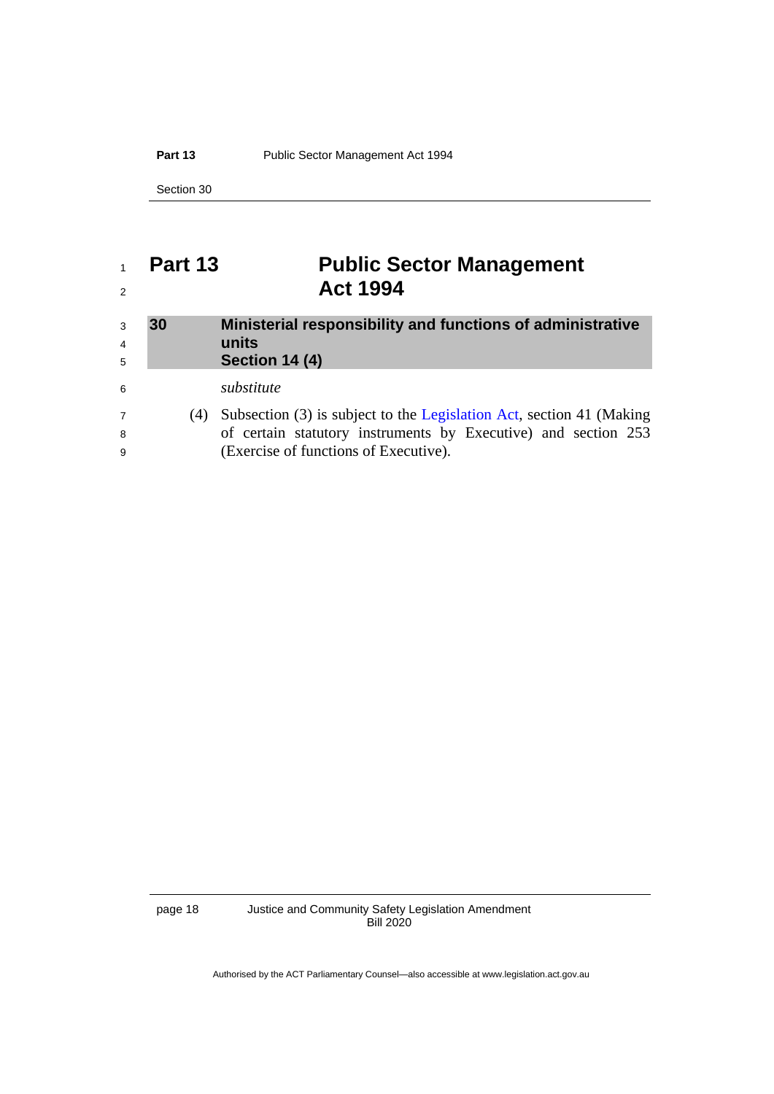### Part 13 Public Sector Management Act 1994

Section 30

## <span id="page-21-0"></span> **Part 13 Public Sector Management Act 1994**

<span id="page-21-1"></span>

| 3<br>$\overline{4}$<br>5 | 30  | Ministerial responsibility and functions of administrative<br>units<br>Section 14 (4) |
|--------------------------|-----|---------------------------------------------------------------------------------------|
| 6                        |     | substitute                                                                            |
| $\overline{7}$           | (4) | Subsection (3) is subject to the Legislation Act, section 41 (Making                  |
| 8                        |     | of certain statutory instruments by Executive) and section 253                        |
| 9                        |     | (Exercise of functions of Executive).                                                 |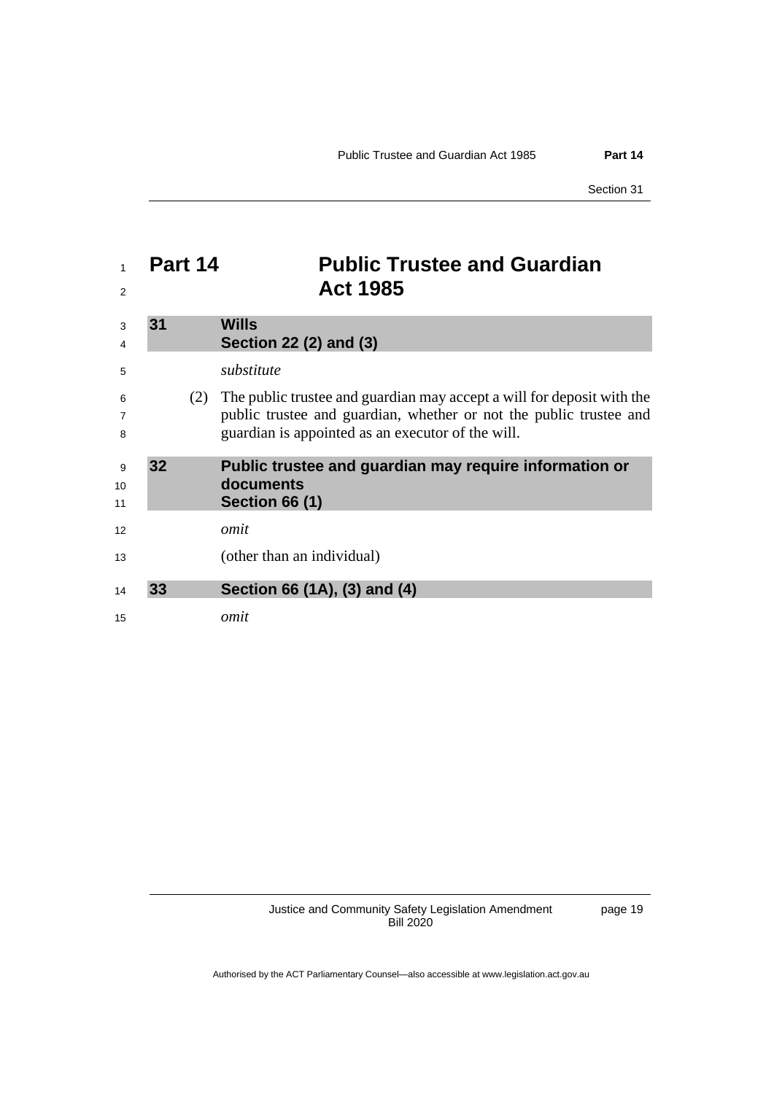## <span id="page-22-3"></span><span id="page-22-2"></span><span id="page-22-1"></span><span id="page-22-0"></span> **Part 14 Public Trustee and Guardian Act 1985 31 Wills Section 22 (2) and (3)** *substitute* (2) The public trustee and guardian may accept a will for deposit with the public trustee and guardian, whether or not the public trustee and guardian is appointed as an executor of the will. **32 Public trustee and guardian may require information or documents Section 66 (1)** *omit* (other than an individual) **33 Section 66 (1A), (3) and (4)** *omit*

Justice and Community Safety Legislation Amendment Bill 2020

page 19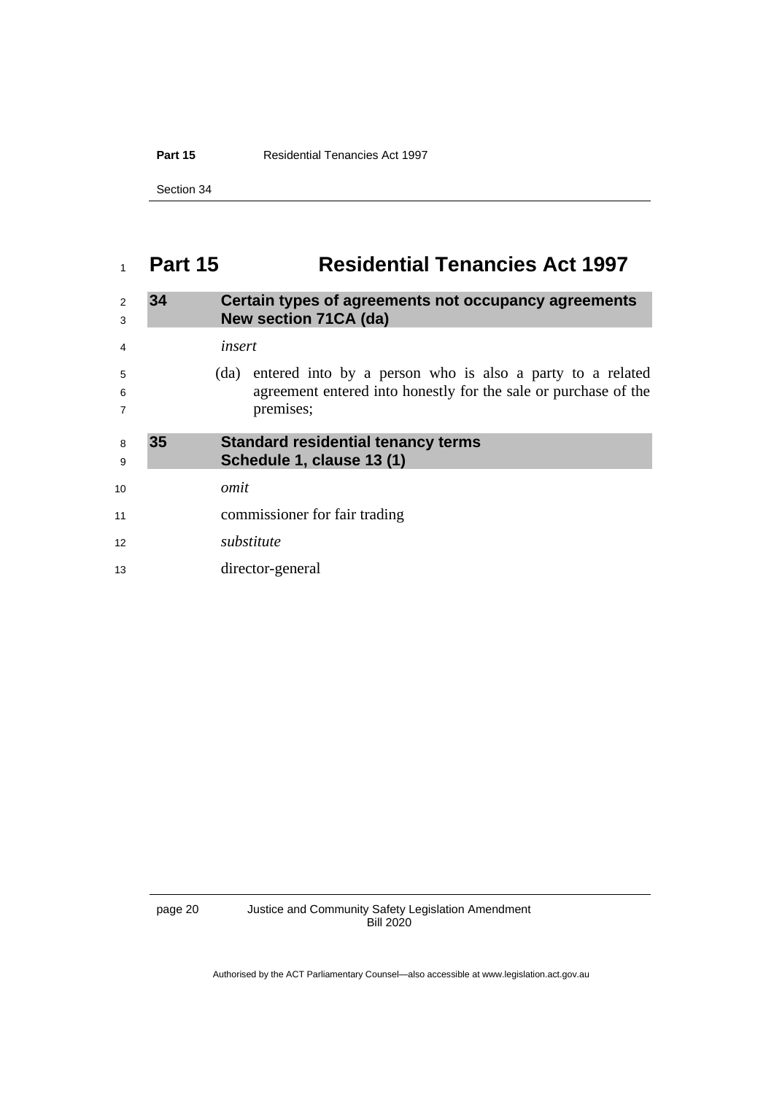**Part 15** Residential Tenancies Act 1997

Section 34

## <span id="page-23-0"></span>**Part 15 Residential Tenancies Act 1997**

<span id="page-23-2"></span><span id="page-23-1"></span>

| $\overline{2}$<br>3      | 34 | Certain types of agreements not occupancy agreements<br>New section 71CA (da)                                                                     |
|--------------------------|----|---------------------------------------------------------------------------------------------------------------------------------------------------|
| $\overline{4}$           |    | insert                                                                                                                                            |
| 5<br>6<br>$\overline{7}$ |    | entered into by a person who is also a party to a related<br>(da)<br>agreement entered into honestly for the sale or purchase of the<br>premises; |
| 8<br>9                   | 35 | <b>Standard residential tenancy terms</b><br>Schedule 1, clause 13 (1)                                                                            |
| 10                       |    | omit                                                                                                                                              |
| 11                       |    | commissioner for fair trading                                                                                                                     |
| 12                       |    | substitute                                                                                                                                        |
| 13                       |    | director-general                                                                                                                                  |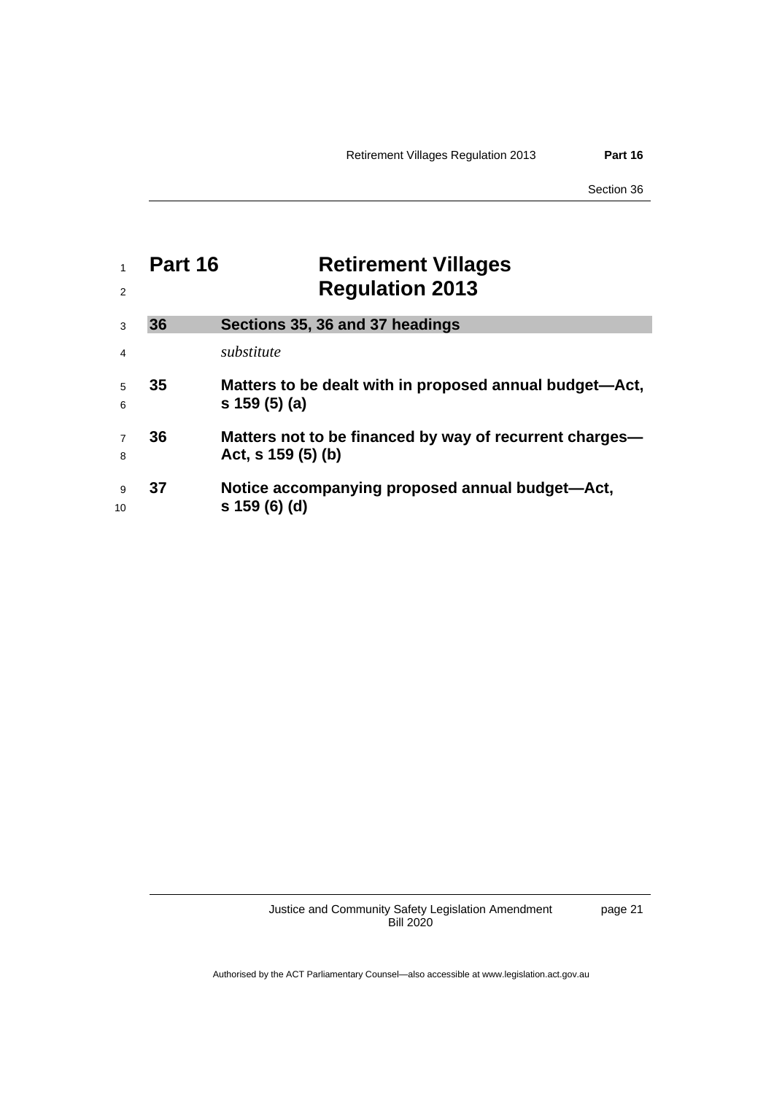Section 36

<span id="page-24-1"></span><span id="page-24-0"></span>

| 2                   | Part 16 | <b>Retirement Villages</b><br><b>Regulation 2013</b>                          |
|---------------------|---------|-------------------------------------------------------------------------------|
| 3                   | 36      | Sections 35, 36 and 37 headings                                               |
| $\overline{4}$      |         | substitute                                                                    |
| 5<br>6              | 35      | Matters to be dealt with in proposed annual budget—Act,<br>$s$ 159 (5) (a)    |
| $\overline{7}$<br>8 | 36      | Matters not to be financed by way of recurrent charges—<br>Act, s $159(5)(b)$ |
| 9<br>10             | 37      | Notice accompanying proposed annual budget-Act,<br>s 159 (6) (d)              |

Justice and Community Safety Legislation Amendment Bill 2020

page 21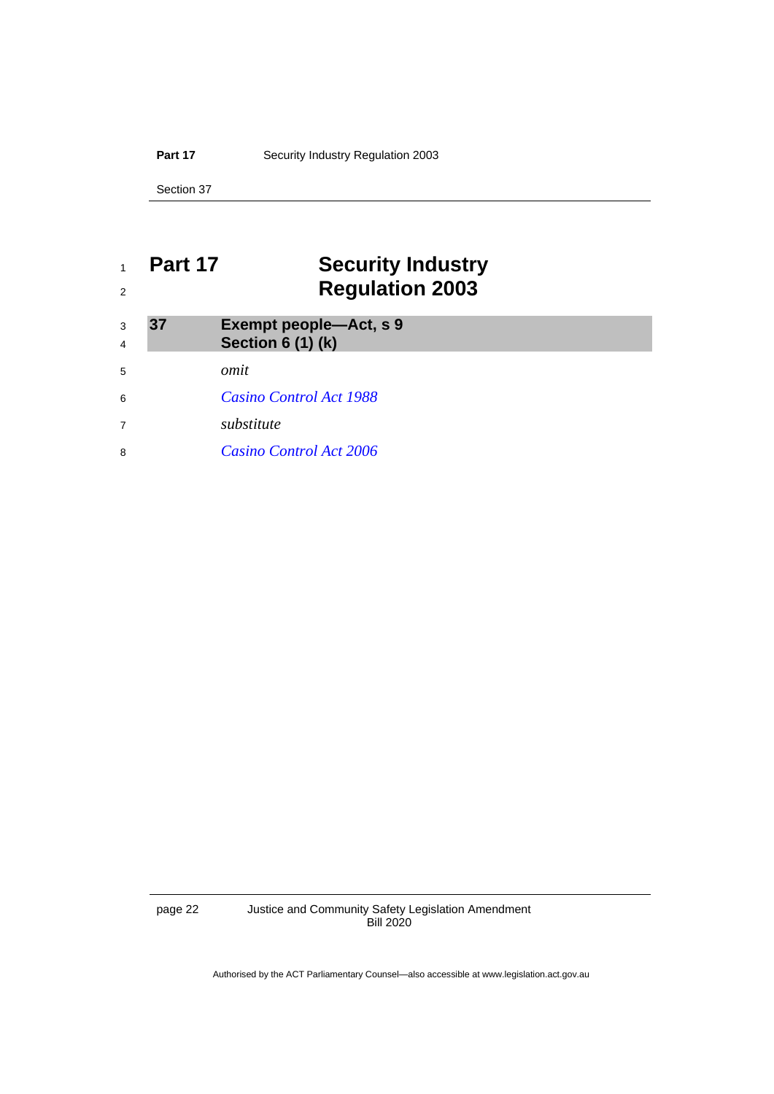Part 17 **Security Industry Regulation 2003** 

Section 37

## <span id="page-25-0"></span> **Part 17 Security Industry Regulation 2003**

<span id="page-25-1"></span>

| 3<br>$\overline{4}$ | 37 | <b>Exempt people-Act, s 9</b><br><b>Section 6 (1) (k)</b> |
|---------------------|----|-----------------------------------------------------------|
| 5                   |    | omit                                                      |
| 6                   |    | Casino Control Act 1988                                   |
| $\overline{7}$      |    | substitute                                                |
| 8                   |    | <i>Casino Control Act 2006</i>                            |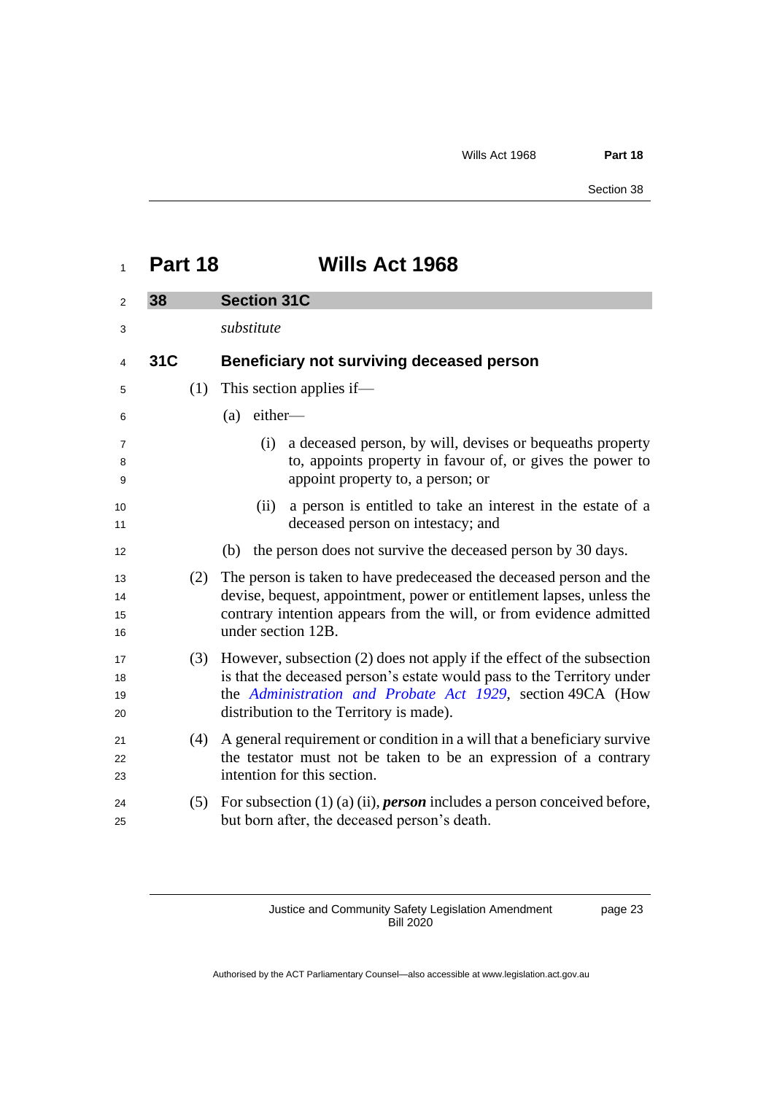<span id="page-26-1"></span><span id="page-26-0"></span>

| Part 18 | <b>Wills Act 1968</b> |
|---------|-----------------------|
|         |                       |

| 2                        | 38  | <b>Section 31C</b>                                                                                                                                                                                                                                        |  |
|--------------------------|-----|-----------------------------------------------------------------------------------------------------------------------------------------------------------------------------------------------------------------------------------------------------------|--|
| 3                        |     | substitute                                                                                                                                                                                                                                                |  |
| 4                        | 31C | Beneficiary not surviving deceased person                                                                                                                                                                                                                 |  |
| 5                        | (1) | This section applies if—                                                                                                                                                                                                                                  |  |
| 6                        |     | either-<br>(a)                                                                                                                                                                                                                                            |  |
| $\overline{7}$<br>8<br>9 |     | a deceased person, by will, devises or bequeaths property<br>(i)<br>to, appoints property in favour of, or gives the power to<br>appoint property to, a person; or                                                                                        |  |
| 10<br>11                 |     | a person is entitled to take an interest in the estate of a<br>(ii)<br>deceased person on intestacy; and                                                                                                                                                  |  |
| 12                       |     | the person does not survive the deceased person by 30 days.<br>(b)                                                                                                                                                                                        |  |
| 13<br>14<br>15<br>16     | (2) | The person is taken to have predeceased the deceased person and the<br>devise, bequest, appointment, power or entitlement lapses, unless the<br>contrary intention appears from the will, or from evidence admitted<br>under section 12B.                 |  |
| 17<br>18<br>19<br>20     | (3) | However, subsection (2) does not apply if the effect of the subsection<br>is that the deceased person's estate would pass to the Territory under<br>the Administration and Probate Act 1929, section 49CA (How<br>distribution to the Territory is made). |  |
| 21<br>22<br>23           | (4) | A general requirement or condition in a will that a beneficiary survive<br>the testator must not be taken to be an expression of a contrary<br>intention for this section.                                                                                |  |
| 24<br>25                 | (5) | For subsection $(1)$ (a) (ii), <i>person</i> includes a person conceived before,<br>but born after, the deceased person's death.                                                                                                                          |  |

Justice and Community Safety Legislation Amendment Bill 2020

page 23